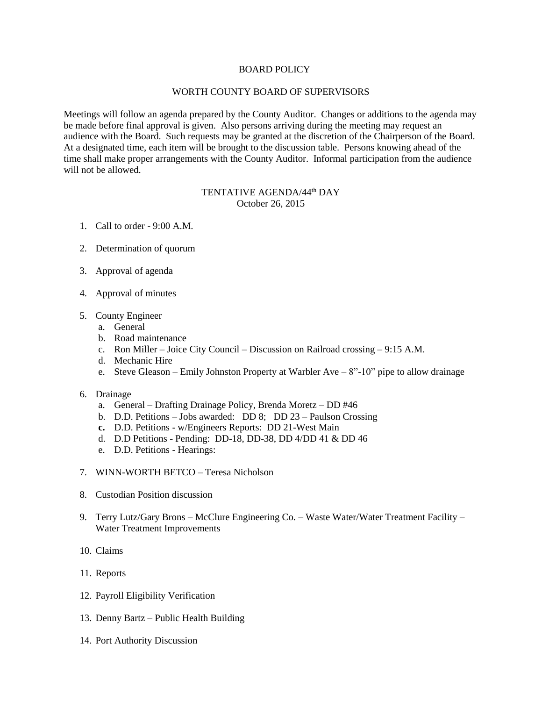## BOARD POLICY

## WORTH COUNTY BOARD OF SUPERVISORS

Meetings will follow an agenda prepared by the County Auditor. Changes or additions to the agenda may be made before final approval is given. Also persons arriving during the meeting may request an audience with the Board. Such requests may be granted at the discretion of the Chairperson of the Board. At a designated time, each item will be brought to the discussion table. Persons knowing ahead of the time shall make proper arrangements with the County Auditor. Informal participation from the audience will not be allowed.

## TENTATIVE AGENDA/44<sup>th</sup> DAY October 26, 2015

- 1. Call to order 9:00 A.M.
- 2. Determination of quorum
- 3. Approval of agenda
- 4. Approval of minutes
- 5. County Engineer
	- a. General
	- b. Road maintenance
	- c. Ron Miller Joice City Council Discussion on Railroad crossing 9:15 A.M.
	- d. Mechanic Hire
	- e. Steve Gleason Emily Johnston Property at Warbler Ave 8"-10" pipe to allow drainage
- 6. Drainage
	- a. General Drafting Drainage Policy, Brenda Moretz DD #46
	- b. D.D. Petitions Jobs awarded: DD 8; DD 23 Paulson Crossing
	- **c.** D.D. Petitions w/Engineers Reports: DD 21-West Main
	- d. D.D Petitions Pending: DD-18, DD-38, DD 4/DD 41 & DD 46
	- e. D.D. Petitions Hearings:
- 7. WINN-WORTH BETCO Teresa Nicholson
- 8. Custodian Position discussion
- 9. Terry Lutz/Gary Brons McClure Engineering Co. Waste Water/Water Treatment Facility Water Treatment Improvements
- 10. Claims
- 11. Reports
- 12. Payroll Eligibility Verification
- 13. Denny Bartz Public Health Building
- 14. Port Authority Discussion